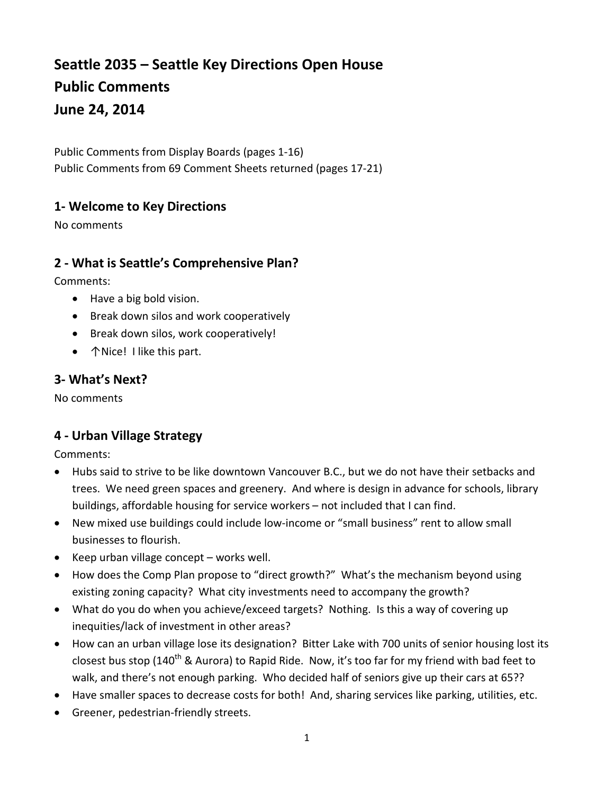# **Seattle 2035 – Seattle Key Directions Open House Public Comments June 24, 2014**

Public Comments from Display Boards (pages 1-16) Public Comments from 69 Comment Sheets returned (pages 17-21)

#### **1- Welcome to Key Directions**

No comments

#### **2 - What is Seattle's Comprehensive Plan?**

Comments:

- Have a big bold vision.
- Break down silos and work cooperatively
- Break down silos, work cooperatively!
- **↑Nice! I like this part.**

# **3- What's Next?**

No comments

# **4 - Urban Village Strategy**

- Hubs said to strive to be like downtown Vancouver B.C., but we do not have their setbacks and trees. We need green spaces and greenery. And where is design in advance for schools, library buildings, affordable housing for service workers – not included that I can find.
- New mixed use buildings could include low-income or "small business" rent to allow small businesses to flourish.
- Keep urban village concept works well.
- How does the Comp Plan propose to "direct growth?" What's the mechanism beyond using existing zoning capacity? What city investments need to accompany the growth?
- What do you do when you achieve/exceed targets? Nothing. Is this a way of covering up inequities/lack of investment in other areas?
- How can an urban village lose its designation? Bitter Lake with 700 units of senior housing lost its closest bus stop (140<sup>th</sup> & Aurora) to Rapid Ride. Now, it's too far for my friend with bad feet to walk, and there's not enough parking. Who decided half of seniors give up their cars at 65??
- Have smaller spaces to decrease costs for both! And, sharing services like parking, utilities, etc.
- Greener, pedestrian-friendly streets.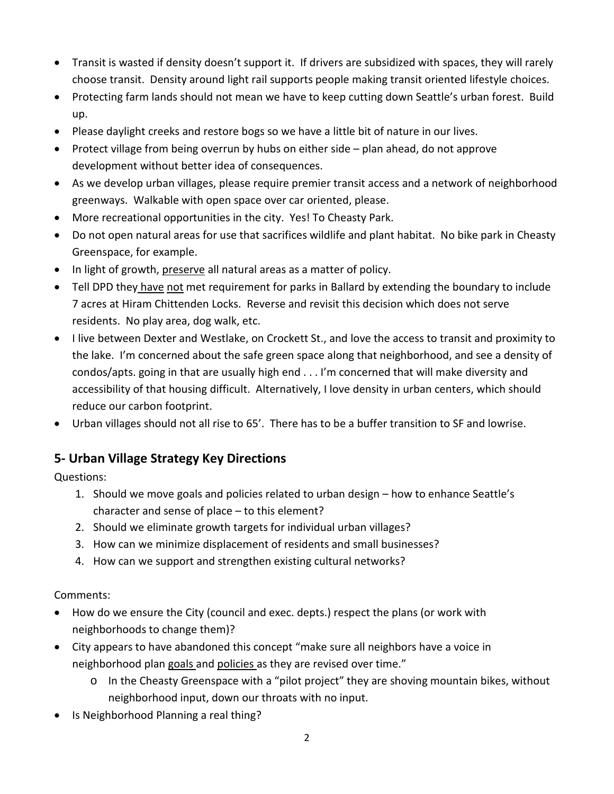- Transit is wasted if density doesn't support it. If drivers are subsidized with spaces, they will rarely choose transit. Density around light rail supports people making transit oriented lifestyle choices.
- Protecting farm lands should not mean we have to keep cutting down Seattle's urban forest. Build up.
- Please daylight creeks and restore bogs so we have a little bit of nature in our lives.
- Protect village from being overrun by hubs on either side plan ahead, do not approve development without better idea of consequences.
- As we develop urban villages, please require premier transit access and a network of neighborhood greenways. Walkable with open space over car oriented, please.
- More recreational opportunities in the city. Yes! To Cheasty Park.
- Do not open natural areas for use that sacrifices wildlife and plant habitat. No bike park in Cheasty Greenspace, for example.
- In light of growth, preserve all natural areas as a matter of policy.
- Tell DPD they have not met requirement for parks in Ballard by extending the boundary to include 7 acres at Hiram Chittenden Locks. Reverse and revisit this decision which does not serve residents. No play area, dog walk, etc.
- I live between Dexter and Westlake, on Crockett St., and love the access to transit and proximity to the lake. I'm concerned about the safe green space along that neighborhood, and see a density of condos/apts. going in that are usually high end . . . I'm concerned that will make diversity and accessibility of that housing difficult. Alternatively, I love density in urban centers, which should reduce our carbon footprint.
- Urban villages should not all rise to 65'. There has to be a buffer transition to SF and lowrise.

# **5- Urban Village Strategy Key Directions**

Questions:

- 1. Should we move goals and policies related to urban design how to enhance Seattle's character and sense of place – to this element?
- 2. Should we eliminate growth targets for individual urban villages?
- 3. How can we minimize displacement of residents and small businesses?
- 4. How can we support and strengthen existing cultural networks?

- How do we ensure the City (council and exec. depts.) respect the plans (or work with neighborhoods to change them)?
- City appears to have abandoned this concept "make sure all neighbors have a voice in neighborhood plan goals and policies as they are revised over time."
	- $\circ$  In the Cheasty Greenspace with a "pilot project" they are shoving mountain bikes, without neighborhood input, down our throats with no input.
- Is Neighborhood Planning a real thing?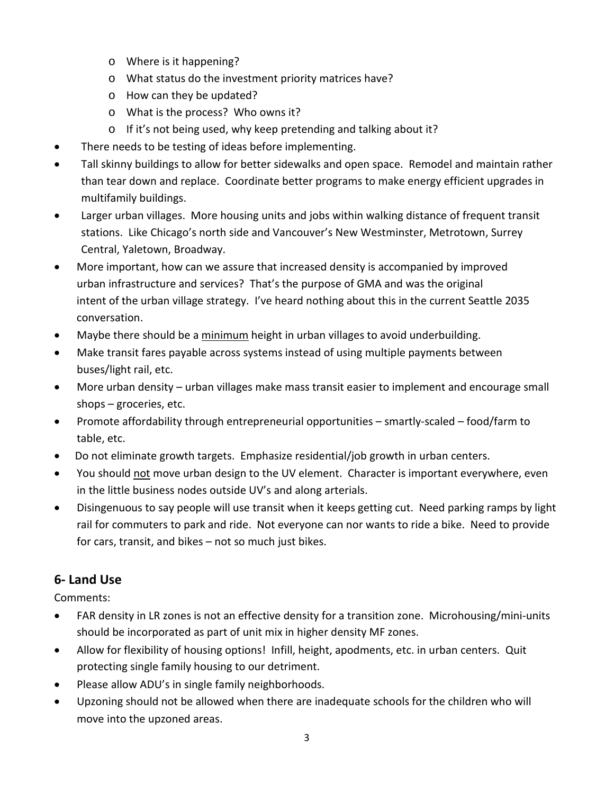- o Where is it happening?
- o What status do the investment priority matrices have?
- o How can they be updated?
- o What is the process? Who owns it?
- o If it's not being used, why keep pretending and talking about it?
- There needs to be testing of ideas before implementing.
- Tall skinny buildings to allow for better sidewalks and open space. Remodel and maintain rather than tear down and replace. Coordinate better programs to make energy efficient upgrades in multifamily buildings.
- Larger urban villages. More housing units and jobs within walking distance of frequent transit stations. Like Chicago's north side and Vancouver's New Westminster, Metrotown, Surrey Central, Yaletown, Broadway.
- More important, how can we assure that increased density is accompanied by improved urban infrastructure and services? That's the purpose of GMA and was the original intent of the urban village strategy. I've heard nothing about this in the current Seattle 2035 conversation.
- Maybe there should be a minimum height in urban villages to avoid underbuilding.
- Make transit fares payable across systems instead of using multiple payments between buses/light rail, etc.
- More urban density urban villages make mass transit easier to implement and encourage small shops – groceries, etc.
- Promote affordability through entrepreneurial opportunities smartly-scaled food/farm to table, etc.
- Do not eliminate growth targets. Emphasize residential/job growth in urban centers.
- You should not move urban design to the UV element. Character is important everywhere, even in the little business nodes outside UV's and along arterials.
- Disingenuous to say people will use transit when it keeps getting cut. Need parking ramps by light rail for commuters to park and ride. Not everyone can nor wants to ride a bike. Need to provide for cars, transit, and bikes – not so much just bikes.

# **6- Land Use**

- FAR density in LR zones is not an effective density for a transition zone. Microhousing/mini-units should be incorporated as part of unit mix in higher density MF zones.
- Allow for flexibility of housing options! Infill, height, apodments, etc. in urban centers. Quit protecting single family housing to our detriment.
- Please allow ADU's in single family neighborhoods.
- Upzoning should not be allowed when there are inadequate schools for the children who will move into the upzoned areas.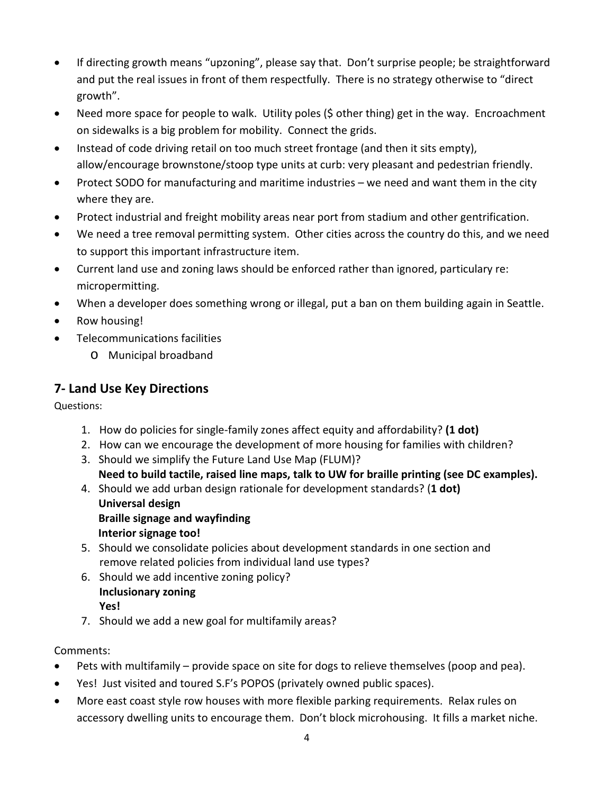- If directing growth means "upzoning", please say that. Don't surprise people; be straightforward and put the real issues in front of them respectfully. There is no strategy otherwise to "direct growth".
- Need more space for people to walk. Utility poles (\$ other thing) get in the way. Encroachment on sidewalks is a big problem for mobility. Connect the grids.
- Instead of code driving retail on too much street frontage (and then it sits empty), allow/encourage brownstone/stoop type units at curb: very pleasant and pedestrian friendly.
- Protect SODO for manufacturing and maritime industries we need and want them in the city where they are.
- Protect industrial and freight mobility areas near port from stadium and other gentrification.
- We need a tree removal permitting system. Other cities across the country do this, and we need to support this important infrastructure item.
- Current land use and zoning laws should be enforced rather than ignored, particulary re: micropermitting.
- When a developer does something wrong or illegal, put a ban on them building again in Seattle.
- Row housing!
- Telecommunications facilities
	- o Municipal broadband

# **7- Land Use Key Directions**

Questions:

- 1. How do policies for single-family zones affect equity and affordability? **(1 dot)**
- 2. How can we encourage the development of more housing for families with children?
- 3. Should we simplify the Future Land Use Map (FLUM)?  **Need to build tactile, raised line maps, talk to UW for braille printing (see DC examples).**
- 4. Should we add urban design rationale for development standards? (**1 dot) Universal design Braille signage and wayfinding Interior signage too!**
- 5. Should we consolidate policies about development standards in one section and remove related policies from individual land use types?
- 6. Should we add incentive zoning policy? **Inclusionary zoning Yes!**
- 7. Should we add a new goal for multifamily areas?

- Pets with multifamily provide space on site for dogs to relieve themselves (poop and pea).
- Yes! Just visited and toured S.F's POPOS (privately owned public spaces).
- More east coast style row houses with more flexible parking requirements. Relax rules on accessory dwelling units to encourage them. Don't block microhousing. It fills a market niche.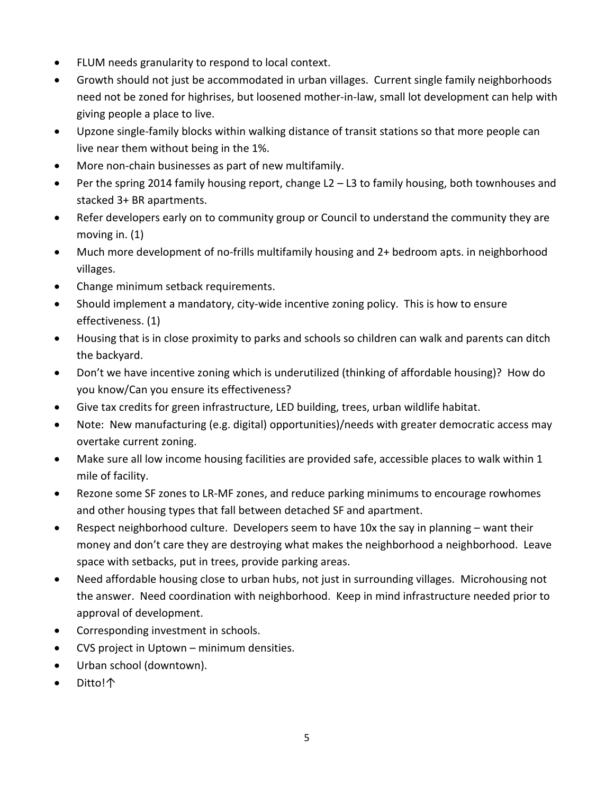- FLUM needs granularity to respond to local context.
- Growth should not just be accommodated in urban villages. Current single family neighborhoods need not be zoned for highrises, but loosened mother-in-law, small lot development can help with giving people a place to live.
- Upzone single-family blocks within walking distance of transit stations so that more people can live near them without being in the 1%.
- More non-chain businesses as part of new multifamily.
- Per the spring 2014 family housing report, change L2 L3 to family housing, both townhouses and stacked 3+ BR apartments.
- Refer developers early on to community group or Council to understand the community they are moving in. (1)
- Much more development of no-frills multifamily housing and 2+ bedroom apts. in neighborhood villages.
- Change minimum setback requirements.
- Should implement a mandatory, city-wide incentive zoning policy. This is how to ensure effectiveness. (1)
- Housing that is in close proximity to parks and schools so children can walk and parents can ditch the backyard.
- Don't we have incentive zoning which is underutilized (thinking of affordable housing)? How do you know/Can you ensure its effectiveness?
- Give tax credits for green infrastructure, LED building, trees, urban wildlife habitat.
- Note: New manufacturing (e.g. digital) opportunities)/needs with greater democratic access may overtake current zoning.
- Make sure all low income housing facilities are provided safe, accessible places to walk within 1 mile of facility.
- Rezone some SF zones to LR-MF zones, and reduce parking minimums to encourage rowhomes and other housing types that fall between detached SF and apartment.
- Respect neighborhood culture. Developers seem to have 10x the say in planning want their money and don't care they are destroying what makes the neighborhood a neighborhood. Leave space with setbacks, put in trees, provide parking areas.
- Need affordable housing close to urban hubs, not just in surrounding villages. Microhousing not the answer. Need coordination with neighborhood. Keep in mind infrastructure needed prior to approval of development.
- Corresponding investment in schools.
- CVS project in Uptown minimum densities.
- Urban school (downtown).
- Ditto!↑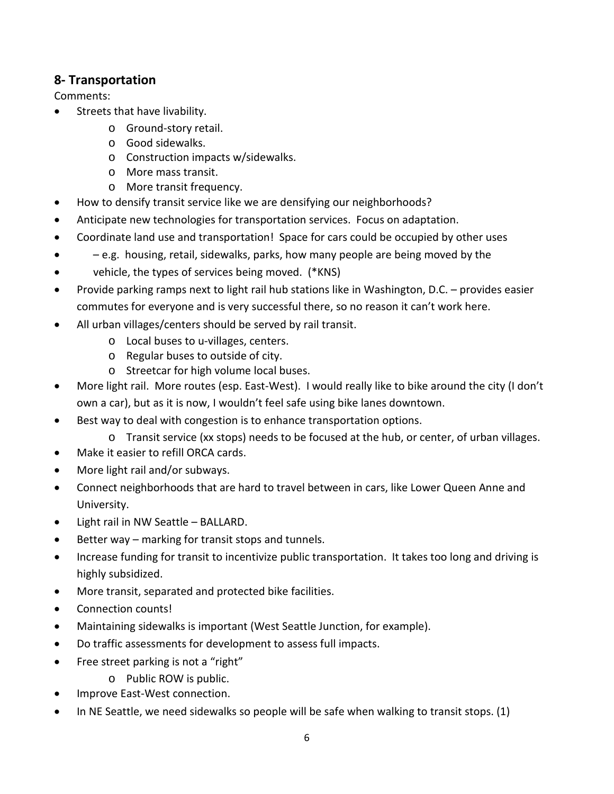#### **8- Transportation**

- Streets that have livability.
	- o Ground-story retail.
	- o Good sidewalks.
	- o Construction impacts w/sidewalks.
	- o More mass transit.
	- o More transit frequency.
- How to densify transit service like we are densifying our neighborhoods?
- Anticipate new technologies for transportation services. Focus on adaptation.
- Coordinate land use and transportation! Space for cars could be occupied by other uses
- – e.g. housing, retail, sidewalks, parks, how many people are being moved by the
- vehicle, the types of services being moved. (\*KNS)
- Provide parking ramps next to light rail hub stations like in Washington, D.C. provides easier commutes for everyone and is very successful there, so no reason it can't work here.
- All urban villages/centers should be served by rail transit.
	- o Local buses to u-villages, centers.
	- o Regular buses to outside of city.
	- o Streetcar for high volume local buses.
- More light rail. More routes (esp. East-West). I would really like to bike around the city (I don't own a car), but as it is now, I wouldn't feel safe using bike lanes downtown.
- Best way to deal with congestion is to enhance transportation options.
	- o Transit service (xx stops) needs to be focused at the hub, or center, of urban villages.
- Make it easier to refill ORCA cards.
- More light rail and/or subways.
- Connect neighborhoods that are hard to travel between in cars, like Lower Queen Anne and University.
- Light rail in NW Seattle BALLARD.
- Better way marking for transit stops and tunnels.
- Increase funding for transit to incentivize public transportation. It takes too long and driving is highly subsidized.
- More transit, separated and protected bike facilities.
- Connection counts!
- Maintaining sidewalks is important (West Seattle Junction, for example).
- Do traffic assessments for development to assess full impacts.
- Free street parking is not a "right"
	- o Public ROW is public.
- Improve East-West connection.
- In NE Seattle, we need sidewalks so people will be safe when walking to transit stops. (1)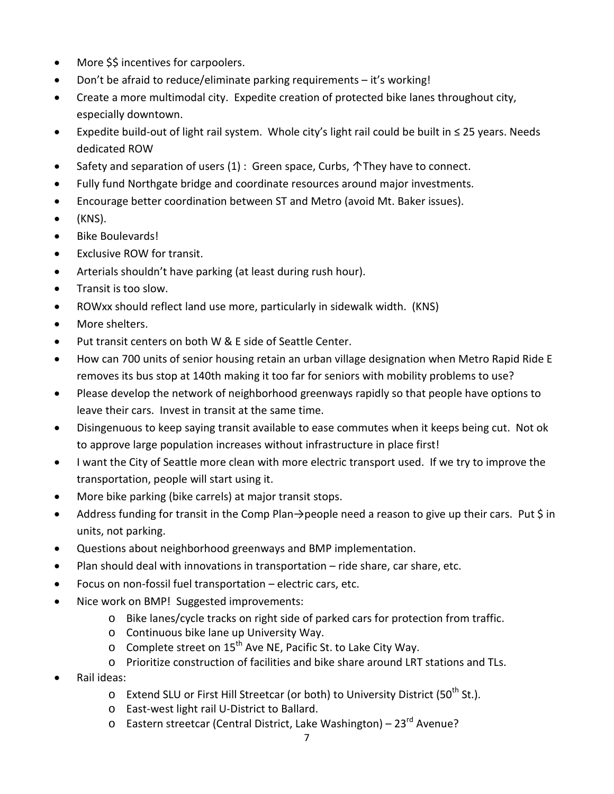- More \$\$ incentives for carpoolers.
- Don't be afraid to reduce/eliminate parking requirements it's working!
- Create a more multimodal city. Expedite creation of protected bike lanes throughout city, especially downtown.
- Expedite build-out of light rail system. Whole city's light rail could be built in ≤ 25 years. Needs dedicated ROW
- Safety and separation of users (1) : Green space, Curbs, 个They have to connect.
- Fully fund Northgate bridge and coordinate resources around major investments.
- Encourage better coordination between ST and Metro (avoid Mt. Baker issues).
- (KNS).
- Bike Boulevards!
- Exclusive ROW for transit.
- Arterials shouldn't have parking (at least during rush hour).
- Transit is too slow.
- ROWxx should reflect land use more, particularly in sidewalk width. (KNS)
- More shelters.
- Put transit centers on both W & E side of Seattle Center.
- How can 700 units of senior housing retain an urban village designation when Metro Rapid Ride E removes its bus stop at 140th making it too far for seniors with mobility problems to use?
- Please develop the network of neighborhood greenways rapidly so that people have options to leave their cars. Invest in transit at the same time.
- Disingenuous to keep saying transit available to ease commutes when it keeps being cut. Not ok to approve large population increases without infrastructure in place first!
- I want the City of Seattle more clean with more electric transport used. If we try to improve the transportation, people will start using it.
- More bike parking (bike carrels) at major transit stops.
- Address funding for transit in the Comp Plan→people need a reason to give up their cars. Put \$ in units, not parking.
- Questions about neighborhood greenways and BMP implementation.
- Plan should deal with innovations in transportation ride share, car share, etc.
- Focus on non-fossil fuel transportation electric cars, etc.
- Nice work on BMP! Suggested improvements:
	- o Bike lanes/cycle tracks on right side of parked cars for protection from traffic.
	- o Continuous bike lane up University Way.
	- $\circ$  Complete street on 15<sup>th</sup> Ave NE, Pacific St. to Lake City Way.
	- o Prioritize construction of facilities and bike share around LRT stations and TLs.
- Rail ideas:
	- o Extend SLU or First Hill Streetcar (or both) to University District (50<sup>th</sup> St.).
	- o East-west light rail U-District to Ballard.
	- o Eastern streetcar (Central District, Lake Washington) 23<sup>rd</sup> Avenue?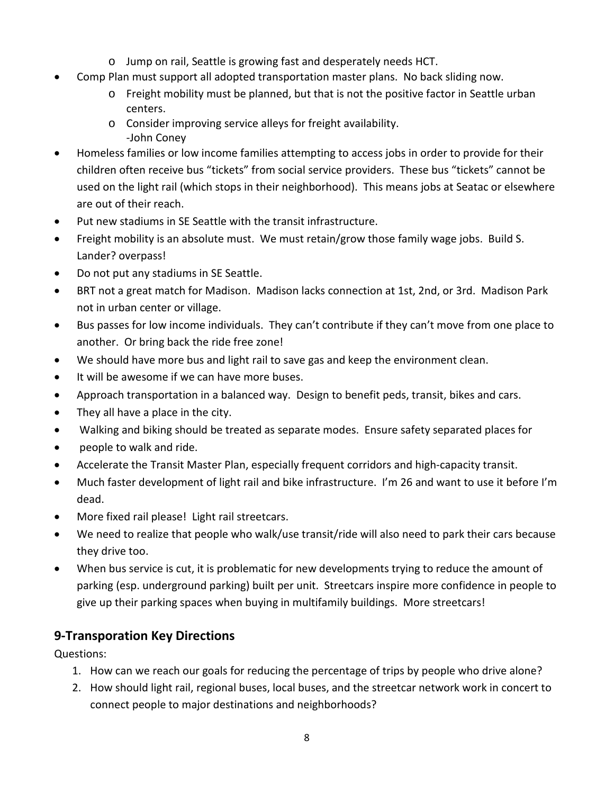- o Jump on rail, Seattle is growing fast and desperately needs HCT.
- Comp Plan must support all adopted transportation master plans. No back sliding now.
	- o Freight mobility must be planned, but that is not the positive factor in Seattle urban centers.
	- o Consider improving service alleys for freight availability. -John Coney
- Homeless families or low income families attempting to access jobs in order to provide for their children often receive bus "tickets" from social service providers. These bus "tickets" cannot be used on the light rail (which stops in their neighborhood). This means jobs at Seatac or elsewhere are out of their reach.
- Put new stadiums in SE Seattle with the transit infrastructure.
- Freight mobility is an absolute must. We must retain/grow those family wage jobs. Build S. Lander? overpass!
- Do not put any stadiums in SE Seattle.
- BRT not a great match for Madison. Madison lacks connection at 1st, 2nd, or 3rd. Madison Park not in urban center or village.
- Bus passes for low income individuals. They can't contribute if they can't move from one place to another. Or bring back the ride free zone!
- We should have more bus and light rail to save gas and keep the environment clean.
- It will be awesome if we can have more buses.
- Approach transportation in a balanced way. Design to benefit peds, transit, bikes and cars.
- They all have a place in the city.
- Walking and biking should be treated as separate modes. Ensure safety separated places for
- people to walk and ride.
- Accelerate the Transit Master Plan, especially frequent corridors and high-capacity transit.
- Much faster development of light rail and bike infrastructure. I'm 26 and want to use it before I'm dead.
- More fixed rail please! Light rail streetcars.
- We need to realize that people who walk/use transit/ride will also need to park their cars because they drive too.
- When bus service is cut, it is problematic for new developments trying to reduce the amount of parking (esp. underground parking) built per unit. Streetcars inspire more confidence in people to give up their parking spaces when buying in multifamily buildings. More streetcars!

# **9-Transporation Key Directions**

Questions:

- 1. How can we reach our goals for reducing the percentage of trips by people who drive alone?
- 2. How should light rail, regional buses, local buses, and the streetcar network work in concert to connect people to major destinations and neighborhoods?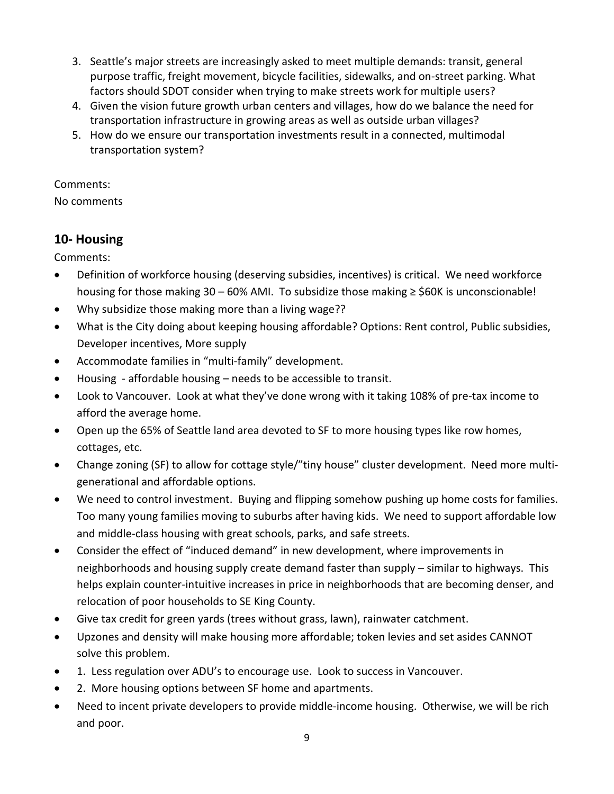- 3. Seattle's major streets are increasingly asked to meet multiple demands: transit, general purpose traffic, freight movement, bicycle facilities, sidewalks, and on-street parking. What factors should SDOT consider when trying to make streets work for multiple users?
- 4. Given the vision future growth urban centers and villages, how do we balance the need for transportation infrastructure in growing areas as well as outside urban villages?
- 5. How do we ensure our transportation investments result in a connected, multimodal transportation system?

#### Comments:

No comments

# **10- Housing**

- Definition of workforce housing (deserving subsidies, incentives) is critical. We need workforce housing for those making  $30 - 60\%$  AMI. To subsidize those making  $\geq$  \$60K is unconscionable!
- Why subsidize those making more than a living wage??
- What is the City doing about keeping housing affordable? Options: Rent control, Public subsidies, Developer incentives, More supply
- Accommodate families in "multi-family" development.
- Housing affordable housing  $-$  needs to be accessible to transit.
- Look to Vancouver. Look at what they've done wrong with it taking 108% of pre-tax income to afford the average home.
- Open up the 65% of Seattle land area devoted to SF to more housing types like row homes, cottages, etc.
- Change zoning (SF) to allow for cottage style/"tiny house" cluster development. Need more multigenerational and affordable options.
- We need to control investment. Buying and flipping somehow pushing up home costs for families. Too many young families moving to suburbs after having kids. We need to support affordable low and middle-class housing with great schools, parks, and safe streets.
- Consider the effect of "induced demand" in new development, where improvements in neighborhoods and housing supply create demand faster than supply – similar to highways. This helps explain counter-intuitive increases in price in neighborhoods that are becoming denser, and relocation of poor households to SE King County.
- Give tax credit for green yards (trees without grass, lawn), rainwater catchment.
- Upzones and density will make housing more affordable; token levies and set asides CANNOT solve this problem.
- 1. Less regulation over ADU's to encourage use. Look to success in Vancouver.
- 2. More housing options between SF home and apartments.
- Need to incent private developers to provide middle-income housing. Otherwise, we will be rich and poor.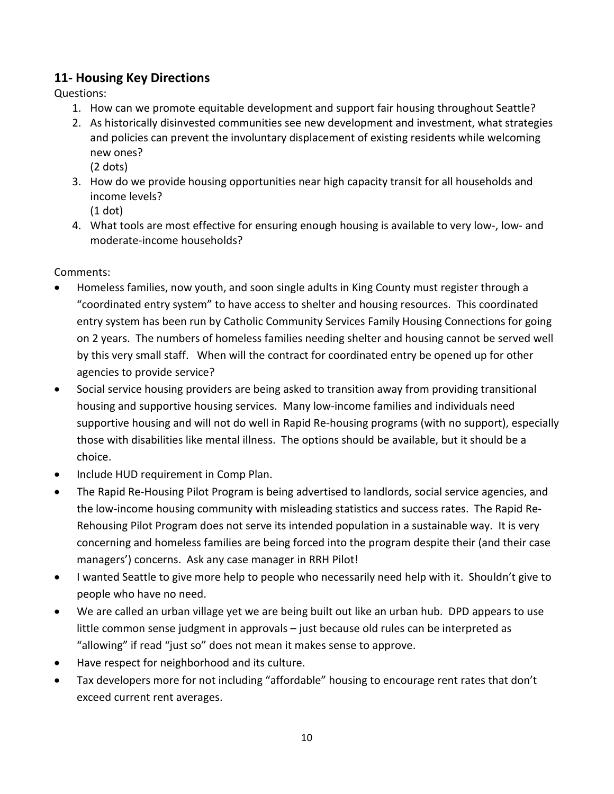# **11- Housing Key Directions**

Questions:

- 1. How can we promote equitable development and support fair housing throughout Seattle?
- 2. As historically disinvested communities see new development and investment, what strategies and policies can prevent the involuntary displacement of existing residents while welcoming new ones? (2 dots)
- 3. How do we provide housing opportunities near high capacity transit for all households and income levels?
	- (1 dot)
- 4. What tools are most effective for ensuring enough housing is available to very low-, low- and moderate-income households?

- Homeless families, now youth, and soon single adults in King County must register through a "coordinated entry system" to have access to shelter and housing resources. This coordinated entry system has been run by Catholic Community Services Family Housing Connections for going on 2 years. The numbers of homeless families needing shelter and housing cannot be served well by this very small staff. When will the contract for coordinated entry be opened up for other agencies to provide service?
- Social service housing providers are being asked to transition away from providing transitional housing and supportive housing services. Many low-income families and individuals need supportive housing and will not do well in Rapid Re-housing programs (with no support), especially those with disabilities like mental illness. The options should be available, but it should be a choice.
- Include HUD requirement in Comp Plan.
- The Rapid Re-Housing Pilot Program is being advertised to landlords, social service agencies, and the low-income housing community with misleading statistics and success rates. The Rapid Re-Rehousing Pilot Program does not serve its intended population in a sustainable way. It is very concerning and homeless families are being forced into the program despite their (and their case managers') concerns. Ask any case manager in RRH Pilot!
- I wanted Seattle to give more help to people who necessarily need help with it. Shouldn't give to people who have no need.
- We are called an urban village yet we are being built out like an urban hub. DPD appears to use little common sense judgment in approvals – just because old rules can be interpreted as "allowing" if read "just so" does not mean it makes sense to approve.
- Have respect for neighborhood and its culture.
- Tax developers more for not including "affordable" housing to encourage rent rates that don't exceed current rent averages.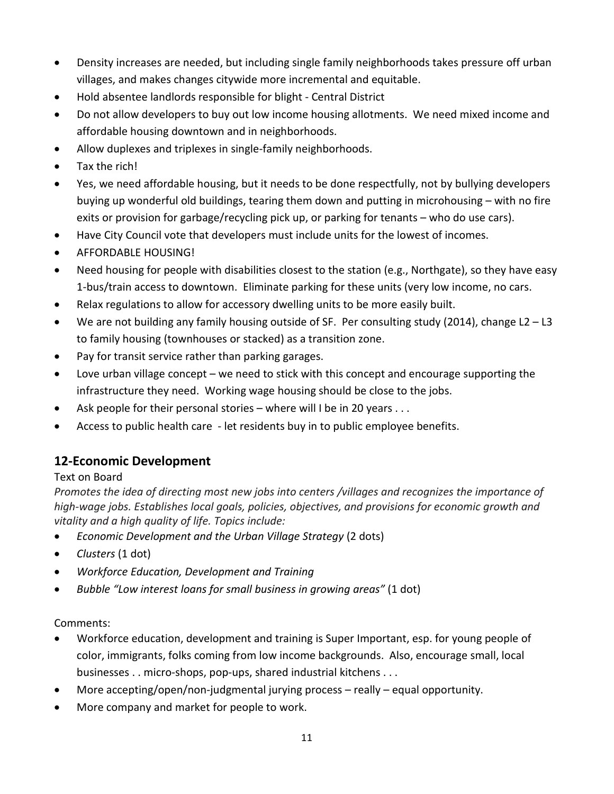- Density increases are needed, but including single family neighborhoods takes pressure off urban villages, and makes changes citywide more incremental and equitable.
- Hold absentee landlords responsible for blight Central District
- Do not allow developers to buy out low income housing allotments. We need mixed income and affordable housing downtown and in neighborhoods.
- Allow duplexes and triplexes in single-family neighborhoods.
- Tax the rich!
- Yes, we need affordable housing, but it needs to be done respectfully, not by bullying developers buying up wonderful old buildings, tearing them down and putting in microhousing – with no fire exits or provision for garbage/recycling pick up, or parking for tenants – who do use cars).
- Have City Council vote that developers must include units for the lowest of incomes.
- AFFORDABLE HOUSING!
- Need housing for people with disabilities closest to the station (e.g., Northgate), so they have easy 1-bus/train access to downtown. Eliminate parking for these units (very low income, no cars.
- Relax regulations to allow for accessory dwelling units to be more easily built.
- We are not building any family housing outside of SF. Per consulting study (2014), change  $L2 L3$ to family housing (townhouses or stacked) as a transition zone.
- Pay for transit service rather than parking garages.
- Love urban village concept we need to stick with this concept and encourage supporting the infrastructure they need. Working wage housing should be close to the jobs.
- Ask people for their personal stories where will I be in 20 years . . .
- Access to public health care let residents buy in to public employee benefits.

# **12-Economic Development**

#### Text on Board

*Promotes the idea of directing most new jobs into centers /villages and recognizes the importance of high-wage jobs. Establishes local goals, policies, objectives, and provisions for economic growth and vitality and a high quality of life. Topics include:*

- *Economic Development and the Urban Village Strategy* (2 dots)
- *Clusters* (1 dot)
- *Workforce Education, Development and Training*
- *Bubble "Low interest loans for small business in growing areas"* (1 dot)

- Workforce education, development and training is Super Important, esp. for young people of color, immigrants, folks coming from low income backgrounds. Also, encourage small, local businesses . . micro-shops, pop-ups, shared industrial kitchens . . .
- More accepting/open/non-judgmental jurying process really equal opportunity.
- More company and market for people to work.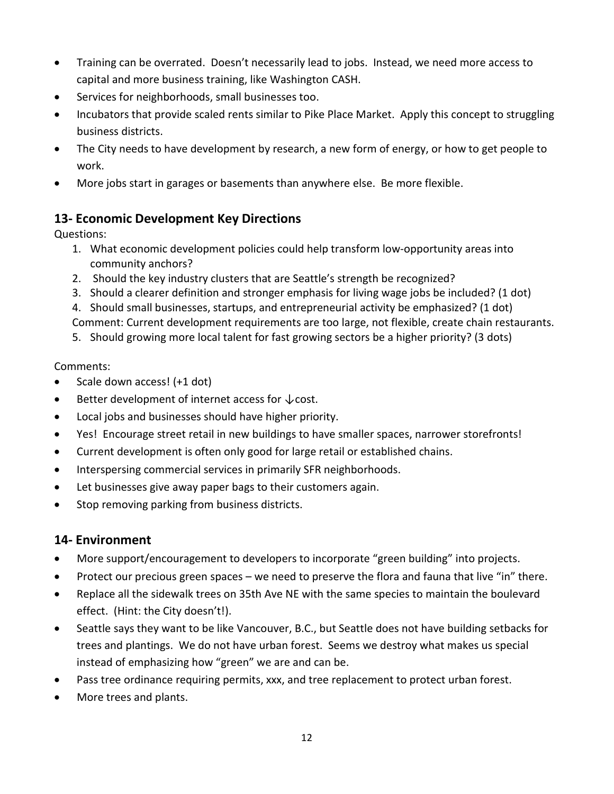- Training can be overrated. Doesn't necessarily lead to jobs. Instead, we need more access to capital and more business training, like Washington CASH.
- Services for neighborhoods, small businesses too.
- Incubators that provide scaled rents similar to Pike Place Market. Apply this concept to struggling business districts.
- The City needs to have development by research, a new form of energy, or how to get people to work.
- More jobs start in garages or basements than anywhere else. Be more flexible.

# **13- Economic Development Key Directions**

Questions:

- 1. What economic development policies could help transform low-opportunity areas into community anchors?
- 2. Should the key industry clusters that are Seattle's strength be recognized?
- 3. Should a clearer definition and stronger emphasis for living wage jobs be included? (1 dot)
- 4. Should small businesses, startups, and entrepreneurial activity be emphasized? (1 dot) Comment: Current development requirements are too large, not flexible, create chain restaurants.
- 5. Should growing more local talent for fast growing sectors be a higher priority? (3 dots)

#### Comments:

- Scale down access! (+1 dot)
- Better development of internet access for ↓ cost.
- Local jobs and businesses should have higher priority.
- Yes! Encourage street retail in new buildings to have smaller spaces, narrower storefronts!
- Current development is often only good for large retail or established chains.
- Interspersing commercial services in primarily SFR neighborhoods.
- Let businesses give away paper bags to their customers again.
- Stop removing parking from business districts.

#### **14- Environment**

- More support/encouragement to developers to incorporate "green building" into projects.
- Protect our precious green spaces we need to preserve the flora and fauna that live "in" there.
- Replace all the sidewalk trees on 35th Ave NE with the same species to maintain the boulevard effect. (Hint: the City doesn't!).
- Seattle says they want to be like Vancouver, B.C., but Seattle does not have building setbacks for trees and plantings. We do not have urban forest. Seems we destroy what makes us special instead of emphasizing how "green" we are and can be.
- Pass tree ordinance requiring permits, xxx, and tree replacement to protect urban forest.
- More trees and plants.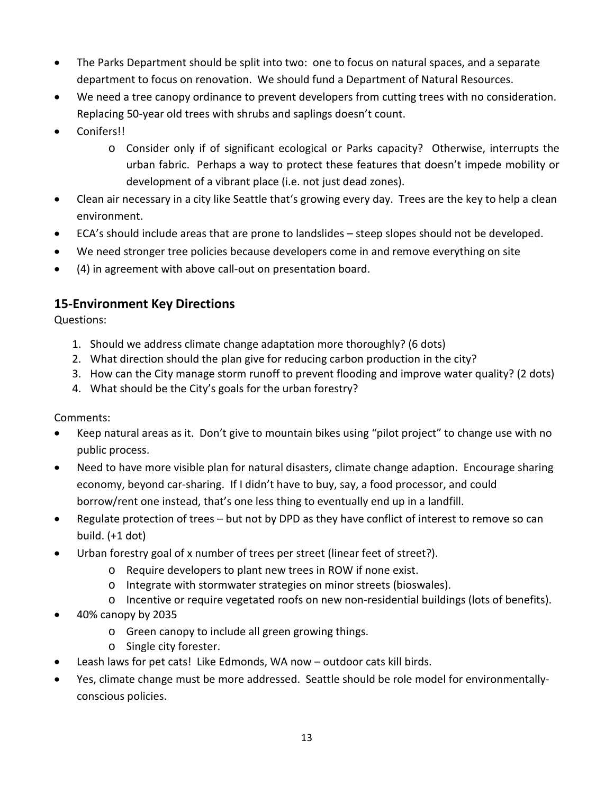- The Parks Department should be split into two: one to focus on natural spaces, and a separate department to focus on renovation. We should fund a Department of Natural Resources.
- We need a tree canopy ordinance to prevent developers from cutting trees with no consideration. Replacing 50-year old trees with shrubs and saplings doesn't count.
- Conifers!!
	- o Consider only if of significant ecological or Parks capacity? Otherwise, interrupts the urban fabric. Perhaps a way to protect these features that doesn't impede mobility or development of a vibrant place (i.e. not just dead zones).
- Clean air necessary in a city like Seattle that's growing every day. Trees are the key to help a clean environment.
- ECA's should include areas that are prone to landslides steep slopes should not be developed.
- We need stronger tree policies because developers come in and remove everything on site
- (4) in agreement with above call-out on presentation board.

#### **15-Environment Key Directions**

Questions:

- 1. Should we address climate change adaptation more thoroughly? (6 dots)
- 2. What direction should the plan give for reducing carbon production in the city?
- 3. How can the City manage storm runoff to prevent flooding and improve water quality? (2 dots)
- 4. What should be the City's goals for the urban forestry?

- Keep natural areas as it. Don't give to mountain bikes using "pilot project" to change use with no public process.
- Need to have more visible plan for natural disasters, climate change adaption. Encourage sharing economy, beyond car-sharing. If I didn't have to buy, say, a food processor, and could borrow/rent one instead, that's one less thing to eventually end up in a landfill.
- Regulate protection of trees but not by DPD as they have conflict of interest to remove so can build. (+1 dot)
- Urban forestry goal of x number of trees per street (linear feet of street?).
	- o Require developers to plant new trees in ROW if none exist.
	- o Integrate with stormwater strategies on minor streets (bioswales).
	- o Incentive or require vegetated roofs on new non-residential buildings (lots of benefits).
- 40% canopy by 2035
	- o Green canopy to include all green growing things.
	- o Single city forester.
- Leash laws for pet cats! Like Edmonds, WA now outdoor cats kill birds.
- Yes, climate change must be more addressed. Seattle should be role model for environmentallyconscious policies.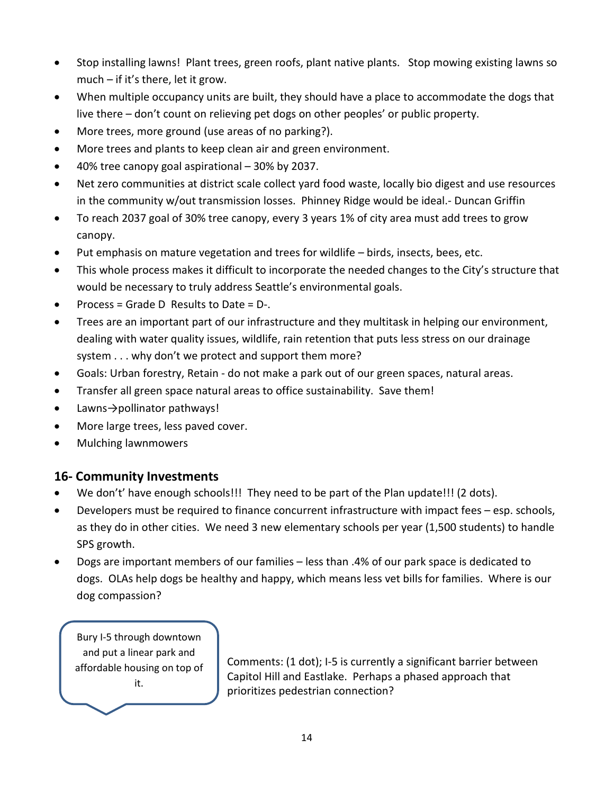- Stop installing lawns! Plant trees, green roofs, plant native plants. Stop mowing existing lawns so much – if it's there, let it grow.
- When multiple occupancy units are built, they should have a place to accommodate the dogs that live there – don't count on relieving pet dogs on other peoples' or public property.
- More trees, more ground (use areas of no parking?).
- More trees and plants to keep clean air and green environment.
- 40% tree canopy goal aspirational 30% by 2037.
- Net zero communities at district scale collect yard food waste, locally bio digest and use resources in the community w/out transmission losses. Phinney Ridge would be ideal.- Duncan Griffin
- To reach 2037 goal of 30% tree canopy, every 3 years 1% of city area must add trees to grow canopy.
- Put emphasis on mature vegetation and trees for wildlife birds, insects, bees, etc.
- This whole process makes it difficult to incorporate the needed changes to the City's structure that would be necessary to truly address Seattle's environmental goals.
- Process = Grade D Results to Date = D-.
- Trees are an important part of our infrastructure and they multitask in helping our environment, dealing with water quality issues, wildlife, rain retention that puts less stress on our drainage system . . . why don't we protect and support them more?
- Goals: Urban forestry, Retain do not make a park out of our green spaces, natural areas.
- Transfer all green space natural areas to office sustainability. Save them!
- Lawns→pollinator pathways!
- More large trees, less paved cover.
- Mulching lawnmowers

#### **16- Community Investments**

- We don't' have enough schools!!! They need to be part of the Plan update!!! (2 dots).
- Developers must be required to finance concurrent infrastructure with impact fees esp. schools, as they do in other cities. We need 3 new elementary schools per year (1,500 students) to handle SPS growth.
- Dogs are important members of our families less than .4% of our park space is dedicated to dogs. OLAs help dogs be healthy and happy, which means less vet bills for families. Where is our dog compassion?

Bury I-5 through downtown and put a linear park and affordable housing on top of it.

Comments: (1 dot); I-5 is currently a significant barrier between Capitol Hill and Eastlake. Perhaps a phased approach that prioritizes pedestrian connection?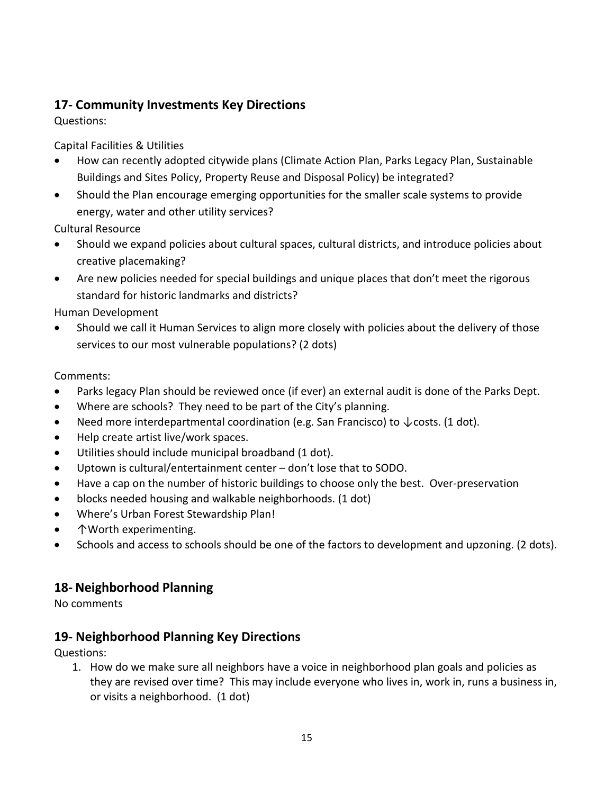# **17- Community Investments Key Directions**

Questions:

Capital Facilities & Utilities

- How can recently adopted citywide plans (Climate Action Plan, Parks Legacy Plan, Sustainable Buildings and Sites Policy, Property Reuse and Disposal Policy) be integrated?
- Should the Plan encourage emerging opportunities for the smaller scale systems to provide energy, water and other utility services?

Cultural Resource

- Should we expand policies about cultural spaces, cultural districts, and introduce policies about creative placemaking?
- Are new policies needed for special buildings and unique places that don't meet the rigorous standard for historic landmarks and districts?

Human Development

• Should we call it Human Services to align more closely with policies about the delivery of those services to our most vulnerable populations? (2 dots)

Comments:

- Parks legacy Plan should be reviewed once (if ever) an external audit is done of the Parks Dept.
- Where are schools? They need to be part of the City's planning.
- Need more interdepartmental coordination (e.g. San Francisco) to  $\downarrow$  costs. (1 dot).
- Help create artist live/work spaces.
- Utilities should include municipal broadband (1 dot).
- Uptown is cultural/entertainment center don't lose that to SODO.
- Have a cap on the number of historic buildings to choose only the best. Over-preservation
- blocks needed housing and walkable neighborhoods. (1 dot)
- Where's Urban Forest Stewardship Plan!
- ↑Worth experimenting.
- Schools and access to schools should be one of the factors to development and upzoning. (2 dots).

#### **18- Neighborhood Planning**

No comments

# **19- Neighborhood Planning Key Directions**

Questions:

1. How do we make sure all neighbors have a voice in neighborhood plan goals and policies as they are revised over time? This may include everyone who lives in, work in, runs a business in, or visits a neighborhood. (1 dot)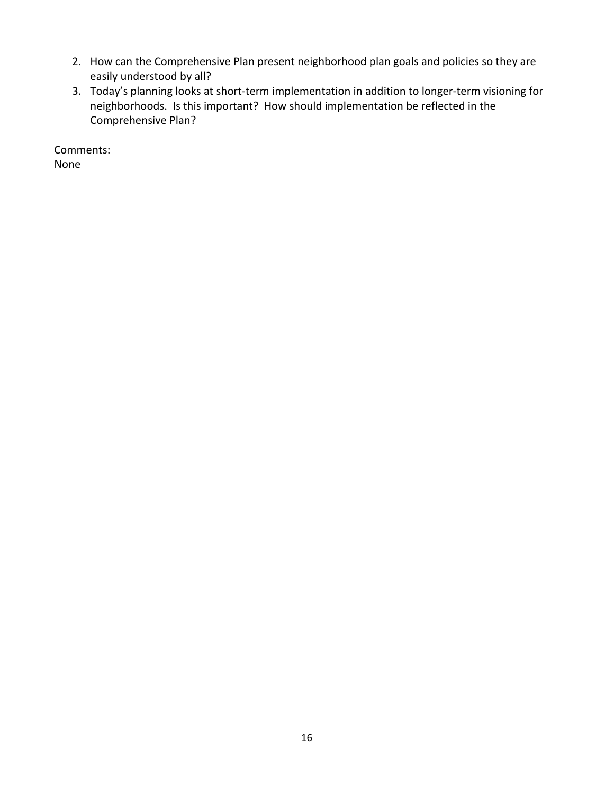- 2. How can the Comprehensive Plan present neighborhood plan goals and policies so they are easily understood by all?
- 3. Today's planning looks at short-term implementation in addition to longer-term visioning for neighborhoods. Is this important? How should implementation be reflected in the Comprehensive Plan?

Comments: None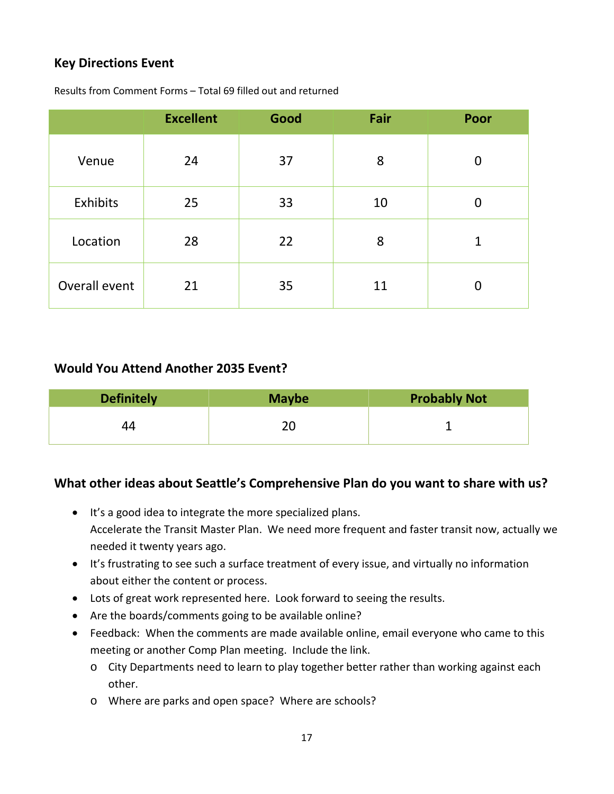# **Key Directions Event**

|               | <b>Excellent</b> | Good | Fair | Poor           |
|---------------|------------------|------|------|----------------|
| Venue         | 24               | 37   | 8    | $\overline{0}$ |
| Exhibits      | 25               | 33   | 10   | $\overline{0}$ |
| Location      | 28               | 22   | 8    | 1              |
| Overall event | 21               | 35   | 11   | $\Omega$       |

Results from Comment Forms – Total 69 filled out and returned

#### **Would You Attend Another 2035 Event?**

| <b>Definitely</b> | <b>Maybe</b> | <b>Probably Not</b> |
|-------------------|--------------|---------------------|
| 44                |              |                     |

# **What other ideas about Seattle's Comprehensive Plan do you want to share with us?**

- It's a good idea to integrate the more specialized plans. Accelerate the Transit Master Plan. We need more frequent and faster transit now, actually we needed it twenty years ago.
- It's frustrating to see such a surface treatment of every issue, and virtually no information about either the content or process.
- Lots of great work represented here. Look forward to seeing the results.
- Are the boards/comments going to be available online?
- Feedback: When the comments are made available online, email everyone who came to this meeting or another Comp Plan meeting. Include the link.
	- o City Departments need to learn to play together better rather than working against each other.
	- o Where are parks and open space? Where are schools?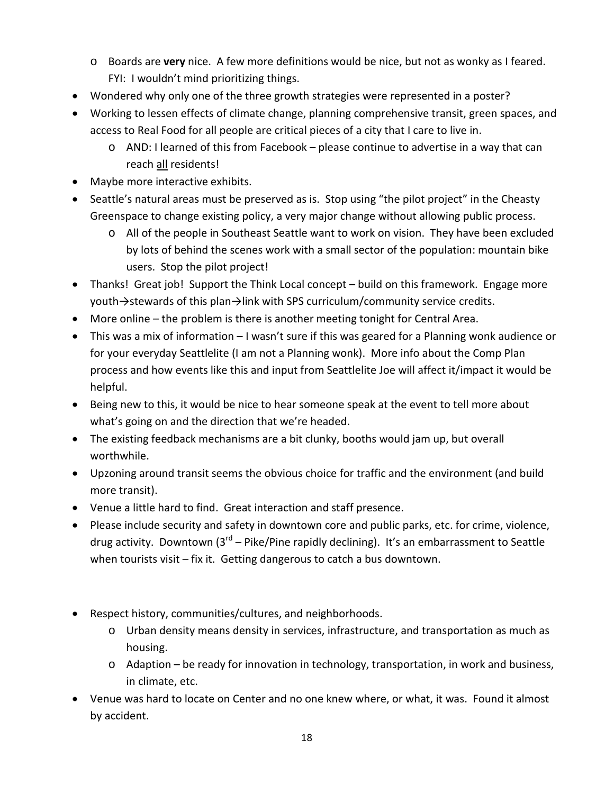- o Boards are **very** nice. A few more definitions would be nice, but not as wonky as I feared. FYI: I wouldn't mind prioritizing things.
- Wondered why only one of the three growth strategies were represented in a poster?
- Working to lessen effects of climate change, planning comprehensive transit, green spaces, and access to Real Food for all people are critical pieces of a city that I care to live in.
	- o AND: I learned of this from Facebook please continue to advertise in a way that can reach all residents!
- Maybe more interactive exhibits.
- Seattle's natural areas must be preserved as is. Stop using "the pilot project" in the Cheasty Greenspace to change existing policy, a very major change without allowing public process.
	- o All of the people in Southeast Seattle want to work on vision. They have been excluded by lots of behind the scenes work with a small sector of the population: mountain bike users. Stop the pilot project!
- Thanks! Great job! Support the Think Local concept build on this framework. Engage more youth→stewards of this plan→link with SPS curriculum/community service credits.
- More online the problem is there is another meeting tonight for Central Area.
- This was a mix of information I wasn't sure if this was geared for a Planning wonk audience or for your everyday Seattlelite (I am not a Planning wonk). More info about the Comp Plan process and how events like this and input from Seattlelite Joe will affect it/impact it would be helpful.
- Being new to this, it would be nice to hear someone speak at the event to tell more about what's going on and the direction that we're headed.
- The existing feedback mechanisms are a bit clunky, booths would jam up, but overall worthwhile.
- Upzoning around transit seems the obvious choice for traffic and the environment (and build more transit).
- Venue a little hard to find. Great interaction and staff presence.
- Please include security and safety in downtown core and public parks, etc. for crime, violence, drug activity. Downtown  $3^{rd}$  – Pike/Pine rapidly declining). It's an embarrassment to Seattle when tourists visit – fix it. Getting dangerous to catch a bus downtown.
- Respect history, communities/cultures, and neighborhoods.
	- o Urban density means density in services, infrastructure, and transportation as much as housing.
	- o Adaption be ready for innovation in technology, transportation, in work and business, in climate, etc.
- Venue was hard to locate on Center and no one knew where, or what, it was. Found it almost by accident.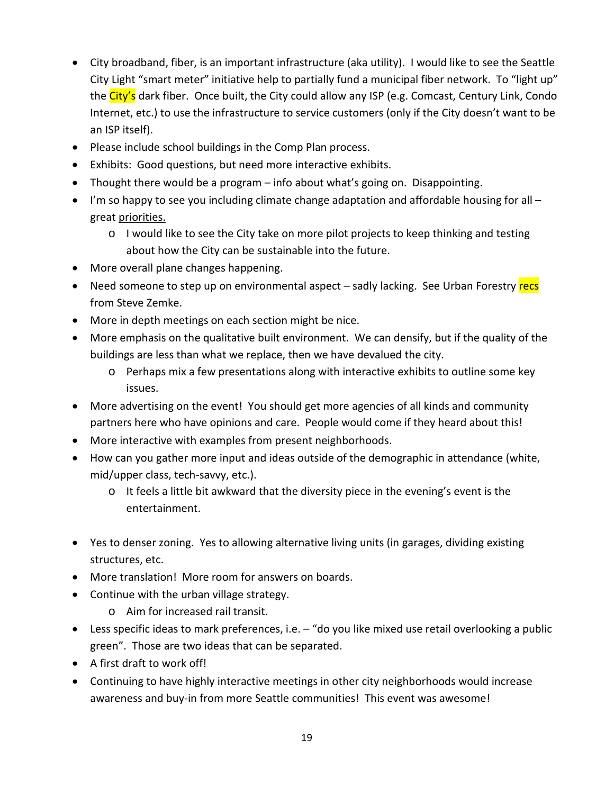- City broadband, fiber, is an important infrastructure (aka utility). I would like to see the Seattle City Light "smart meter" initiative help to partially fund a municipal fiber network. To "light up" the City's dark fiber. Once built, the City could allow any ISP (e.g. Comcast, Century Link, Condo Internet, etc.) to use the infrastructure to service customers (only if the City doesn't want to be an ISP itself).
- Please include school buildings in the Comp Plan process.
- Exhibits: Good questions, but need more interactive exhibits.
- Thought there would be a program info about what's going on. Disappointing.
- I'm so happy to see you including climate change adaptation and affordable housing for all great priorities.
	- o I would like to see the City take on more pilot projects to keep thinking and testing about how the City can be sustainable into the future.
- More overall plane changes happening.
- Need someone to step up on environmental aspect sadly lacking. See Urban Forestry recs from Steve Zemke.
- More in depth meetings on each section might be nice.
- More emphasis on the qualitative built environment. We can densify, but if the quality of the buildings are less than what we replace, then we have devalued the city.
	- o Perhaps mix a few presentations along with interactive exhibits to outline some key issues.
- More advertising on the event! You should get more agencies of all kinds and community partners here who have opinions and care. People would come if they heard about this!
- More interactive with examples from present neighborhoods.
- How can you gather more input and ideas outside of the demographic in attendance (white, mid/upper class, tech-savvy, etc.).
	- $\circ$  It feels a little bit awkward that the diversity piece in the evening's event is the entertainment.
- Yes to denser zoning. Yes to allowing alternative living units (in garages, dividing existing structures, etc.
- More translation! More room for answers on boards.
- Continue with the urban village strategy.
	- o Aim for increased rail transit.
- Less specific ideas to mark preferences, i.e. "do you like mixed use retail overlooking a public green". Those are two ideas that can be separated.
- A first draft to work off!
- Continuing to have highly interactive meetings in other city neighborhoods would increase awareness and buy-in from more Seattle communities! This event was awesome!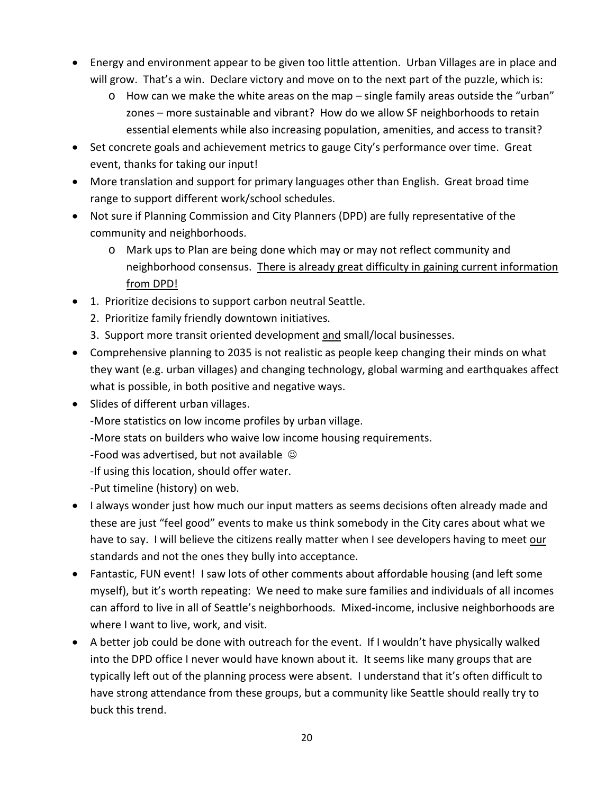- Energy and environment appear to be given too little attention. Urban Villages are in place and will grow. That's a win. Declare victory and move on to the next part of the puzzle, which is:
	- o How can we make the white areas on the map single family areas outside the "urban" zones – more sustainable and vibrant? How do we allow SF neighborhoods to retain essential elements while also increasing population, amenities, and access to transit?
- Set concrete goals and achievement metrics to gauge City's performance over time. Great event, thanks for taking our input!
- More translation and support for primary languages other than English. Great broad time range to support different work/school schedules.
- Not sure if Planning Commission and City Planners (DPD) are fully representative of the community and neighborhoods.
	- o Mark ups to Plan are being done which may or may not reflect community and neighborhood consensus. There is already great difficulty in gaining current information from DPD!
- 1. Prioritize decisions to support carbon neutral Seattle.
	- 2. Prioritize family friendly downtown initiatives.
	- 3. Support more transit oriented development and small/local businesses.
- Comprehensive planning to 2035 is not realistic as people keep changing their minds on what they want (e.g. urban villages) and changing technology, global warming and earthquakes affect what is possible, in both positive and negative ways.
- Slides of different urban villages.
	- -More statistics on low income profiles by urban village.
	- -More stats on builders who waive low income housing requirements.
	- -Food was advertised, but not available  $\odot$
	- -If using this location, should offer water.
	- -Put timeline (history) on web.
- I always wonder just how much our input matters as seems decisions often already made and these are just "feel good" events to make us think somebody in the City cares about what we have to say. I will believe the citizens really matter when I see developers having to meet our standards and not the ones they bully into acceptance.
- Fantastic, FUN event! I saw lots of other comments about affordable housing (and left some myself), but it's worth repeating: We need to make sure families and individuals of all incomes can afford to live in all of Seattle's neighborhoods. Mixed-income, inclusive neighborhoods are where I want to live, work, and visit.
- A better job could be done with outreach for the event. If I wouldn't have physically walked into the DPD office I never would have known about it. It seems like many groups that are typically left out of the planning process were absent. I understand that it's often difficult to have strong attendance from these groups, but a community like Seattle should really try to buck this trend.